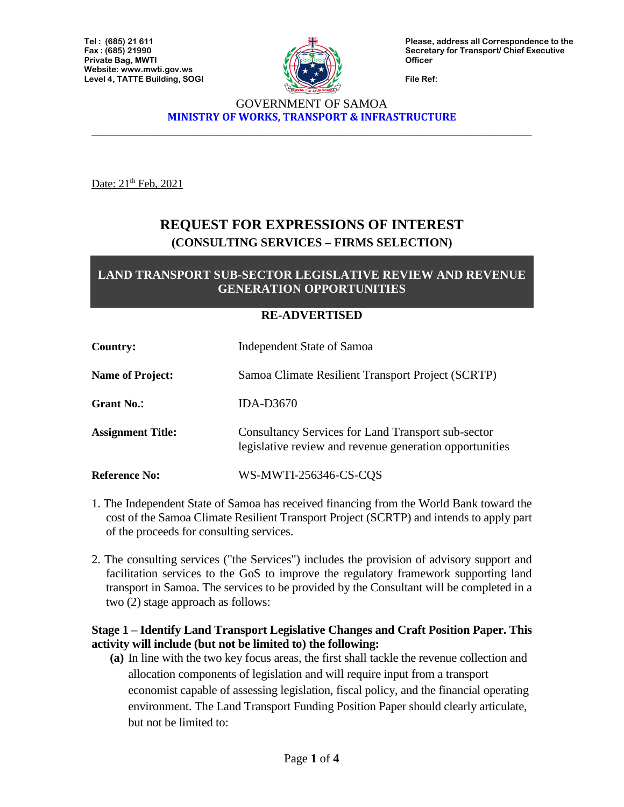

**Please, address all Correspondence to the Secretary for Transport/ Chief Executive Officer**

**File Ref:**

#### GOVERNMENT OF SAMOA **MINISTRY OF WORKS, TRANSPORT & INFRASTRUCTURE**

\_\_\_\_\_\_\_\_\_\_\_\_\_\_\_\_\_\_\_\_\_\_\_\_\_\_\_\_\_\_\_\_\_\_\_\_\_\_\_\_\_\_\_\_\_\_\_\_\_\_\_\_\_\_\_\_\_\_\_\_\_\_\_\_\_\_\_\_\_\_\_\_

Date: 21<sup>th</sup> Feb, 2021

# **REQUEST FOR EXPRESSIONS OF INTEREST (CONSULTING SERVICES – FIRMS SELECTION)**

## **LAND TRANSPORT SUB-SECTOR LEGISLATIVE REVIEW AND REVENUE GENERATION OPPORTUNITIES**

#### **RE-ADVERTISED**

| Country:                 | <b>Independent State of Samoa</b>                                                                                    |
|--------------------------|----------------------------------------------------------------------------------------------------------------------|
| <b>Name of Project:</b>  | Samoa Climate Resilient Transport Project (SCRTP)                                                                    |
| <b>Grant No.:</b>        | <b>IDA-D3670</b>                                                                                                     |
| <b>Assignment Title:</b> | <b>Consultancy Services for Land Transport sub-sector</b><br>legislative review and revenue generation opportunities |
| <b>Reference No:</b>     | WS-MWTI-256346-CS-CQS                                                                                                |

- 1. The Independent State of Samoa has received financing from the World Bank toward the cost of the Samoa Climate Resilient Transport Project (SCRTP) and intends to apply part of the proceeds for consulting services.
- 2. The consulting services ("the Services") includes the provision of advisory support and facilitation services to the GoS to improve the regulatory framework supporting land transport in Samoa. The services to be provided by the Consultant will be completed in a two (2) stage approach as follows:

### **Stage 1 – Identify Land Transport Legislative Changes and Craft Position Paper. This activity will include (but not be limited to) the following:**

**(a)** In line with the two key focus areas, the first shall tackle the revenue collection and allocation components of legislation and will require input from a transport economist capable of assessing legislation, fiscal policy, and the financial operating environment. The Land Transport Funding Position Paper should clearly articulate, but not be limited to: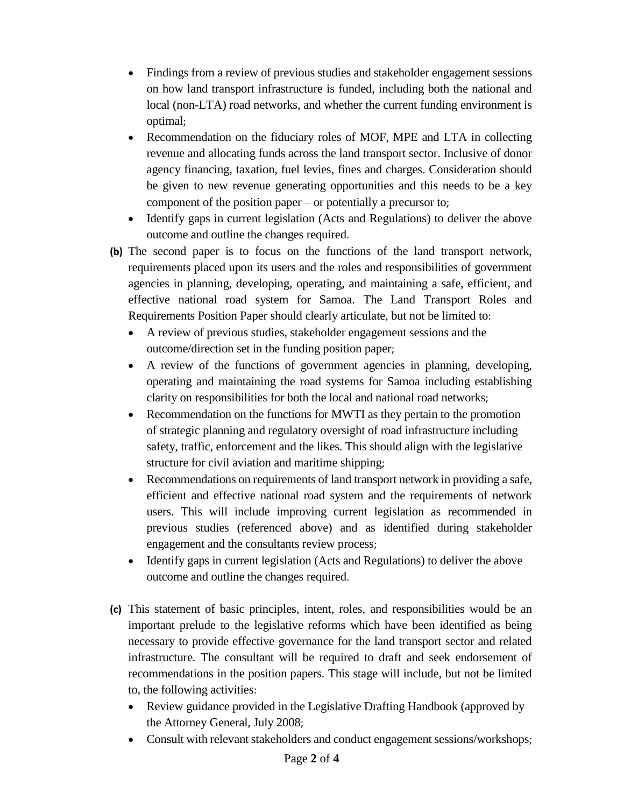- Findings from a review of previous studies and stakeholder engagement sessions on how land transport infrastructure is funded, including both the national and local (non-LTA) road networks, and whether the current funding environment is optimal;
- Recommendation on the fiduciary roles of MOF, MPE and LTA in collecting revenue and allocating funds across the land transport sector. Inclusive of donor agency financing, taxation, fuel levies, fines and charges. Consideration should be given to new revenue generating opportunities and this needs to be a key component of the position paper – or potentially a precursor to;
- Identify gaps in current legislation (Acts and Regulations) to deliver the above outcome and outline the changes required.
- **(b)** The second paper is to focus on the functions of the land transport network, requirements placed upon its users and the roles and responsibilities of government agencies in planning, developing, operating, and maintaining a safe, efficient, and effective national road system for Samoa. The Land Transport Roles and Requirements Position Paper should clearly articulate, but not be limited to:
	- A review of previous studies, stakeholder engagement sessions and the outcome/direction set in the funding position paper;
	- A review of the functions of government agencies in planning, developing, operating and maintaining the road systems for Samoa including establishing clarity on responsibilities for both the local and national road networks;
	- Recommendation on the functions for MWTI as they pertain to the promotion of strategic planning and regulatory oversight of road infrastructure including safety, traffic, enforcement and the likes. This should align with the legislative structure for civil aviation and maritime shipping;
	- Recommendations on requirements of land transport network in providing a safe, efficient and effective national road system and the requirements of network users. This will include improving current legislation as recommended in previous studies (referenced above) and as identified during stakeholder engagement and the consultants review process;
	- Identify gaps in current legislation (Acts and Regulations) to deliver the above outcome and outline the changes required.
- **(c)** This statement of basic principles, intent, roles, and responsibilities would be an important prelude to the legislative reforms which have been identified as being necessary to provide effective governance for the land transport sector and related infrastructure. The consultant will be required to draft and seek endorsement of recommendations in the position papers. This stage will include, but not be limited to, the following activities:
	- Review guidance provided in the Legislative Drafting Handbook (approved by the Attorney General, July 2008;
	- Consult with relevant stakeholders and conduct engagement sessions/workshops;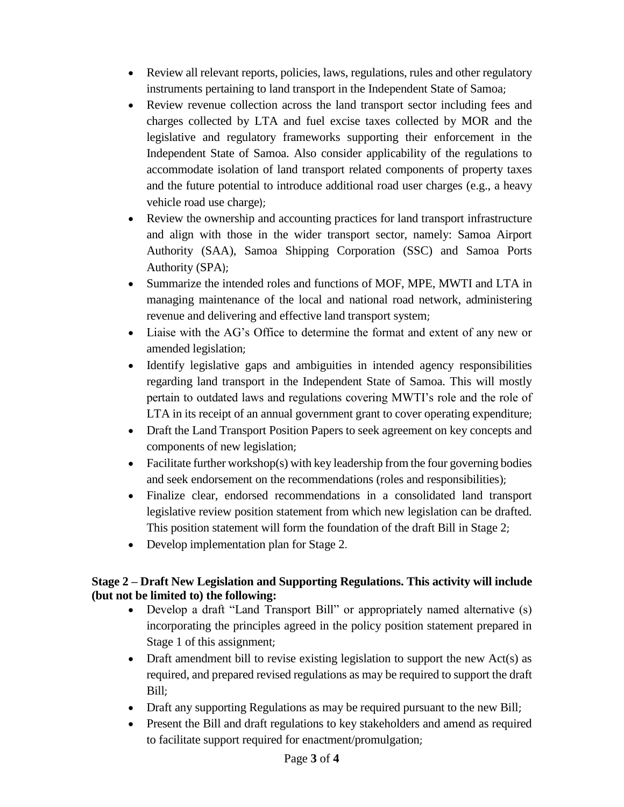- Review all relevant reports, policies, laws, regulations, rules and other regulatory instruments pertaining to land transport in the Independent State of Samoa;
- Review revenue collection across the land transport sector including fees and charges collected by LTA and fuel excise taxes collected by MOR and the legislative and regulatory frameworks supporting their enforcement in the Independent State of Samoa. Also consider applicability of the regulations to accommodate isolation of land transport related components of property taxes and the future potential to introduce additional road user charges (e.g., a heavy vehicle road use charge);
- Review the ownership and accounting practices for land transport infrastructure and align with those in the wider transport sector, namely: Samoa Airport Authority (SAA), Samoa Shipping Corporation (SSC) and Samoa Ports Authority (SPA);
- Summarize the intended roles and functions of MOF, MPE, MWTI and LTA in managing maintenance of the local and national road network, administering revenue and delivering and effective land transport system;
- Liaise with the AG's Office to determine the format and extent of any new or amended legislation;
- Identify legislative gaps and ambiguities in intended agency responsibilities regarding land transport in the Independent State of Samoa. This will mostly pertain to outdated laws and regulations covering MWTI's role and the role of LTA in its receipt of an annual government grant to cover operating expenditure;
- Draft the Land Transport Position Papers to seek agreement on key concepts and components of new legislation;
- Facilitate further workshop(s) with key leadership from the four governing bodies and seek endorsement on the recommendations (roles and responsibilities);
- Finalize clear, endorsed recommendations in a consolidated land transport legislative review position statement from which new legislation can be drafted. This position statement will form the foundation of the draft Bill in Stage 2;
- Develop implementation plan for Stage 2.

## **Stage 2 – Draft New Legislation and Supporting Regulations. This activity will include (but not be limited to) the following:**

- Develop a draft "Land Transport Bill" or appropriately named alternative (s) incorporating the principles agreed in the policy position statement prepared in Stage 1 of this assignment;
- Draft amendment bill to revise existing legislation to support the new  $Act(s)$  as required, and prepared revised regulations as may be required to support the draft Bill;
- Draft any supporting Regulations as may be required pursuant to the new Bill;
- Present the Bill and draft regulations to key stakeholders and amend as required to facilitate support required for enactment/promulgation;